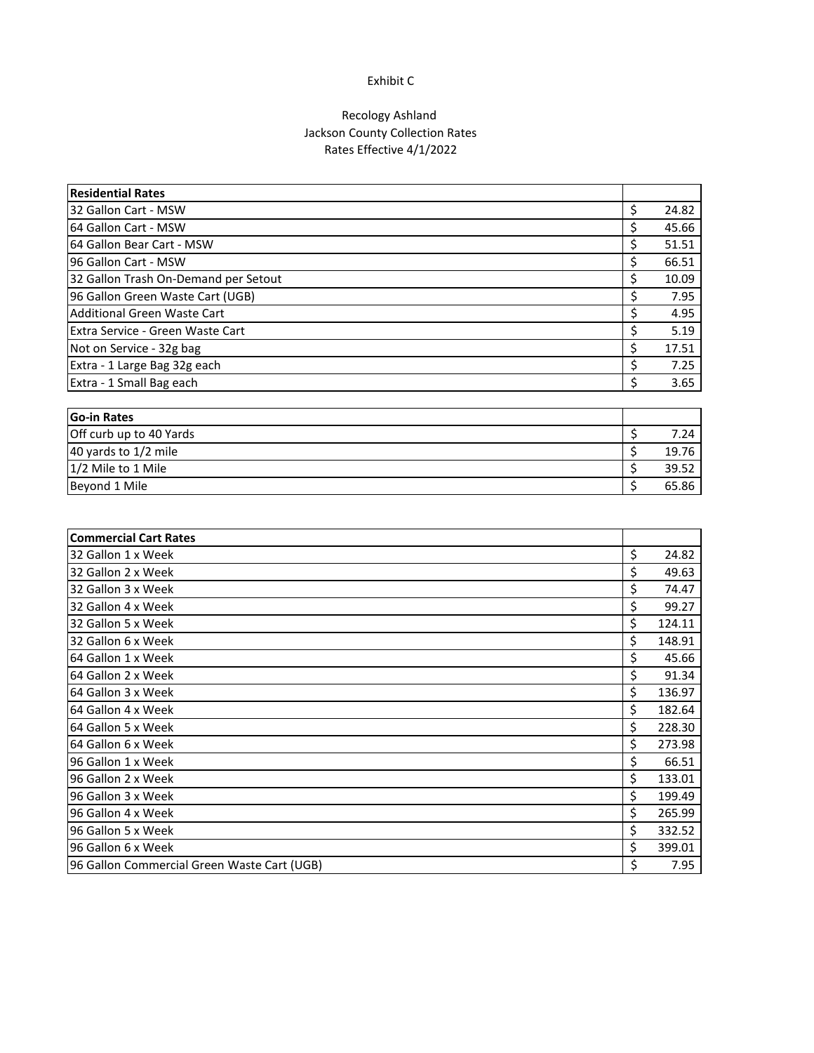#### Exhibit C

### Recology Ashland Jackson County Collection Rates Rates Effective 4/1/2022

| <b>Residential Rates</b>             |       |
|--------------------------------------|-------|
| 32 Gallon Cart - MSW                 | 24.82 |
| 64 Gallon Cart - MSW                 | 45.66 |
| 64 Gallon Bear Cart - MSW            | 51.51 |
| 96 Gallon Cart - MSW                 | 66.51 |
| 32 Gallon Trash On-Demand per Setout | 10.09 |
| 96 Gallon Green Waste Cart (UGB)     | 7.95  |
| Additional Green Waste Cart          | 4.95  |
| Extra Service - Green Waste Cart     | 5.19  |
| Not on Service - 32g bag             | 17.51 |
| Extra - 1 Large Bag 32g each         | 7.25  |
| Extra - 1 Small Bag each             | 3.65  |

| <b>IGo-in Rates</b>     |       |
|-------------------------|-------|
| Off curb up to 40 Yards | 7.24  |
| 40 yards to 1/2 mile    | 19.76 |
| 1/2 Mile to 1 Mile      | 39.52 |
| Beyond 1 Mile           | 65.86 |

| <b>Commercial Cart Rates</b>                |              |
|---------------------------------------------|--------------|
| 32 Gallon 1 x Week                          | \$<br>24.82  |
| 32 Gallon 2 x Week                          | \$<br>49.63  |
| 32 Gallon 3 x Week                          | \$<br>74.47  |
| 32 Gallon 4 x Week                          | \$<br>99.27  |
| 32 Gallon 5 x Week                          | \$<br>124.11 |
| 32 Gallon 6 x Week                          | \$<br>148.91 |
| 64 Gallon 1 x Week                          | \$<br>45.66  |
| 64 Gallon 2 x Week                          | \$<br>91.34  |
| 64 Gallon 3 x Week                          | \$<br>136.97 |
| 64 Gallon 4 x Week                          | \$<br>182.64 |
| 64 Gallon 5 x Week                          | \$<br>228.30 |
| 64 Gallon 6 x Week                          | \$<br>273.98 |
| 96 Gallon 1 x Week                          | \$<br>66.51  |
| 96 Gallon 2 x Week                          | \$<br>133.01 |
| 96 Gallon 3 x Week                          | \$<br>199.49 |
| 96 Gallon 4 x Week                          | \$<br>265.99 |
| 96 Gallon 5 x Week                          | \$<br>332.52 |
| 96 Gallon 6 x Week                          | \$<br>399.01 |
| 96 Gallon Commercial Green Waste Cart (UGB) | \$<br>7.95   |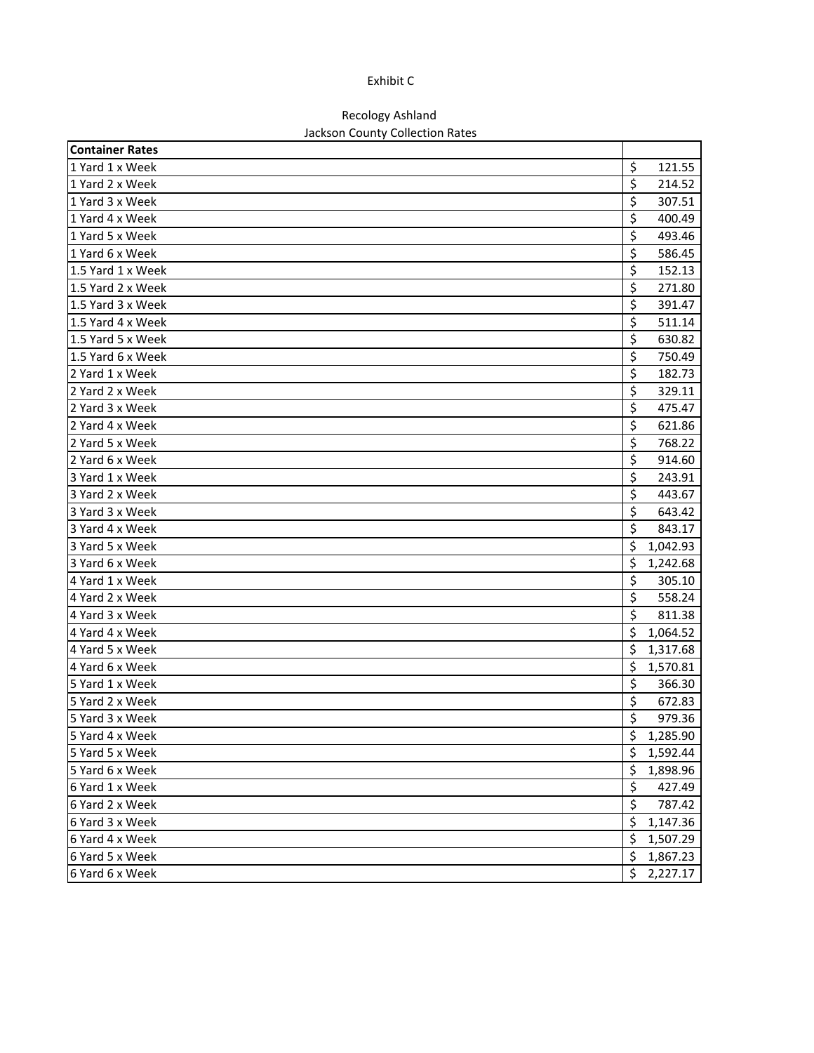#### Exhibit C

# Recology Ashland

## Jackson County Collection Rates

| <b>Container Rates</b> |    |          |
|------------------------|----|----------|
| 1 Yard 1 x Week        | \$ | 121.55   |
| 1 Yard 2 x Week        | \$ | 214.52   |
| 1 Yard 3 x Week        | \$ | 307.51   |
| 1 Yard 4 x Week        | \$ | 400.49   |
| 1 Yard 5 x Week        | \$ | 493.46   |
| 1 Yard 6 x Week        | \$ | 586.45   |
| 1.5 Yard 1 x Week      | \$ | 152.13   |
| 1.5 Yard 2 x Week      | \$ | 271.80   |
| 1.5 Yard 3 x Week      | \$ | 391.47   |
| 1.5 Yard 4 x Week      | \$ | 511.14   |
| 1.5 Yard 5 x Week      | \$ | 630.82   |
| 1.5 Yard 6 x Week      | \$ | 750.49   |
| 2 Yard 1 x Week        | \$ | 182.73   |
| 2 Yard 2 x Week        | \$ | 329.11   |
| 2 Yard 3 x Week        | \$ | 475.47   |
| 2 Yard 4 x Week        | \$ | 621.86   |
| 2 Yard 5 x Week        | \$ | 768.22   |
| 2 Yard 6 x Week        | \$ | 914.60   |
| 3 Yard 1 x Week        | \$ | 243.91   |
| 3 Yard 2 x Week        | \$ | 443.67   |
| 3 Yard 3 x Week        | \$ | 643.42   |
| 3 Yard 4 x Week        | \$ | 843.17   |
| 3 Yard 5 x Week        | \$ | 1,042.93 |
| 3 Yard 6 x Week        | \$ | 1,242.68 |
| 4 Yard 1 x Week        | \$ | 305.10   |
| 4 Yard 2 x Week        | \$ | 558.24   |
| 4 Yard 3 x Week        | \$ | 811.38   |
| 4 Yard 4 x Week        | Ś  | 1,064.52 |
| 4 Yard 5 x Week        | \$ | 1,317.68 |
| 4 Yard 6 x Week        | \$ | 1,570.81 |
| 5 Yard 1 x Week        | \$ | 366.30   |
| 5 Yard 2 x Week        | \$ | 672.83   |
| 5 Yard 3 x Week        | \$ | 979.36   |
| 5 Yard 4 x Week        | \$ | 1,285.90 |
| 5 Yard 5 x Week        | \$ | 1,592.44 |
| 5 Yard 6 x Week        | \$ | 1,898.96 |
| 6 Yard 1 x Week        | \$ | 427.49   |
| 6 Yard 2 x Week        | \$ | 787.42   |
| 6 Yard 3 x Week        | \$ | 1,147.36 |
| 6 Yard 4 x Week        | \$ | 1,507.29 |
| 6 Yard 5 x Week        | \$ | 1,867.23 |
| 6 Yard 6 x Week        | \$ | 2,227.17 |